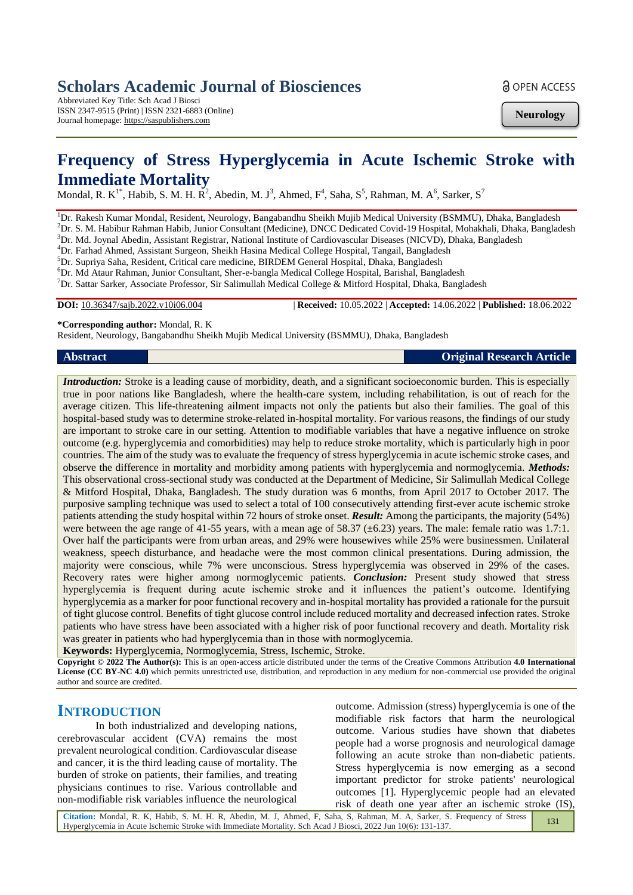# **Scholars Academic Journal of Biosciences**

Abbreviated Key Title: Sch Acad J Biosci ISSN 2347-9515 (Print) | ISSN 2321-6883 (Online) Journal homepage: https://saspublishers.com

**a** OPEN ACCESS

**Neurology**

# **Frequency of Stress Hyperglycemia in Acute Ischemic Stroke with Immediate Mortality**

Mondal, R. K<sup>1\*</sup>, Habib, S. M. H. R<sup>2</sup>, Abedin, M. J<sup>3</sup>, Ahmed, F<sup>4</sup>, Saha, S<sup>5</sup>, Rahman, M. A<sup>6</sup>, Sarker, S<sup>7</sup>

<sup>1</sup>Dr. Rakesh Kumar Mondal, Resident, Neurology, Bangabandhu Sheikh Mujib Medical University (BSMMU), Dhaka, Bangladesh <sup>2</sup>Dr. S. M. Habibur Rahman Habib, Junior Consultant (Medicine), DNCC Dedicated Covid-19 Hospital, Mohakhali, Dhaka, Bangladesh <sup>3</sup>Dr. Md. Joynal Abedin, Assistant Registrar, National Institute of Cardiovascular Diseases (NICVD), Dhaka, Bangladesh

<sup>4</sup>Dr. Farhad Ahmed, Assistant Surgeon, Sheikh Hasina Medical College Hospital, Tangail, Bangladesh

<sup>5</sup>Dr. Supriya Saha, Resident, Critical care medicine, BIRDEM General Hospital, Dhaka, Bangladesh

<sup>6</sup>Dr. Md Ataur Rahman, Junior Consultant, Sher-e-bangla Medical College Hospital, Barishal, Bangladesh

<sup>7</sup>Dr. Sattar Sarker, Associate Professor, Sir Salimullah Medical College & Mitford Hospital, Dhaka, Bangladesh

**DOI:** 10.36347/sajb.2022.v10i06.004 | **Received:** 10.05.2022 | **Accepted:** 14.06.2022 | **Published:** 18.06.2022

**\*Corresponding author:** Mondal, R. K

Resident, Neurology, Bangabandhu Sheikh Mujib Medical University (BSMMU), Dhaka, Bangladesh

**Abstract Original Research Article**

*Introduction:* Stroke is a leading cause of morbidity, death, and a significant socioeconomic burden. This is especially true in poor nations like Bangladesh, where the health-care system, including rehabilitation, is out of reach for the average citizen. This life-threatening ailment impacts not only the patients but also their families. The goal of this hospital-based study was to determine stroke-related in-hospital mortality. For various reasons, the findings of our study are important to stroke care in our setting. Attention to modifiable variables that have a negative influence on stroke outcome (e.g. hyperglycemia and comorbidities) may help to reduce stroke mortality, which is particularly high in poor countries. The aim of the study was to evaluate the frequency of stress hyperglycemia in acute ischemic stroke cases, and observe the difference in mortality and morbidity among patients with hyperglycemia and normoglycemia. *Methods:*  This observational cross-sectional study was conducted at the Department of Medicine, Sir Salimullah Medical College & Mitford Hospital, Dhaka, Bangladesh. The study duration was 6 months, from April 2017 to October 2017. The purposive sampling technique was used to select a total of 100 consecutively attending first-ever acute ischemic stroke patients attending the study hospital within 72 hours of stroke onset. *Result:* Among the participants, the majority (54%) were between the age range of 41-55 years, with a mean age of 58.37 ( $\pm$ 6.23) years. The male: female ratio was 1.7:1. Over half the participants were from urban areas, and 29% were housewives while 25% were businessmen. Unilateral weakness, speech disturbance, and headache were the most common clinical presentations. During admission, the majority were conscious, while 7% were unconscious. Stress hyperglycemia was observed in 29% of the cases. Recovery rates were higher among normoglycemic patients. *Conclusion:* Present study showed that stress hyperglycemia is frequent during acute ischemic stroke and it influences the patient's outcome. Identifying hyperglycemia as a marker for poor functional recovery and in-hospital mortality has provided a rationale for the pursuit of tight glucose control. Benefits of tight glucose control include reduced mortality and decreased infection rates. Stroke patients who have stress have been associated with a higher risk of poor functional recovery and death. Mortality risk was greater in patients who had hyperglycemia than in those with normoglycemia.

**Keywords:** Hyperglycemia, Normoglycemia, Stress, Ischemic, Stroke.

**Copyright © 2022 The Author(s):** This is an open-access article distributed under the terms of the Creative Commons Attribution **4.0 International License (CC BY-NC 4.0)** which permits unrestricted use, distribution, and reproduction in any medium for non-commercial use provided the original author and source are credited.

# **INTRODUCTION**

In both industrialized and developing nations, cerebrovascular accident (CVA) remains the most prevalent neurological condition. Cardiovascular disease and cancer, it is the third leading cause of mortality. The burden of stroke on patients, their families, and treating physicians continues to rise. Various controllable and non-modifiable risk variables influence the neurological

outcome. Admission (stress) hyperglycemia is one of the modifiable risk factors that harm the neurological outcome. Various studies have shown that diabetes people had a worse prognosis and neurological damage following an acute stroke than non-diabetic patients. Stress hyperglycemia is now emerging as a second important predictor for stroke patients' neurological outcomes [1]. Hyperglycemic people had an elevated risk of death one year after an ischemic stroke (IS),

**Citation:** Mondal, R. K, Habib, S. M. H. R, Abedin, M. J, Ahmed, F, Saha, S, Rahman, M. A, Sarker, S. Frequency of Stress Hyperglycemia in Acute Ischemic Stroke with Immediate Mortality. Sch Acad J Biosci, 2022 Jun 10(6): 131-137. 131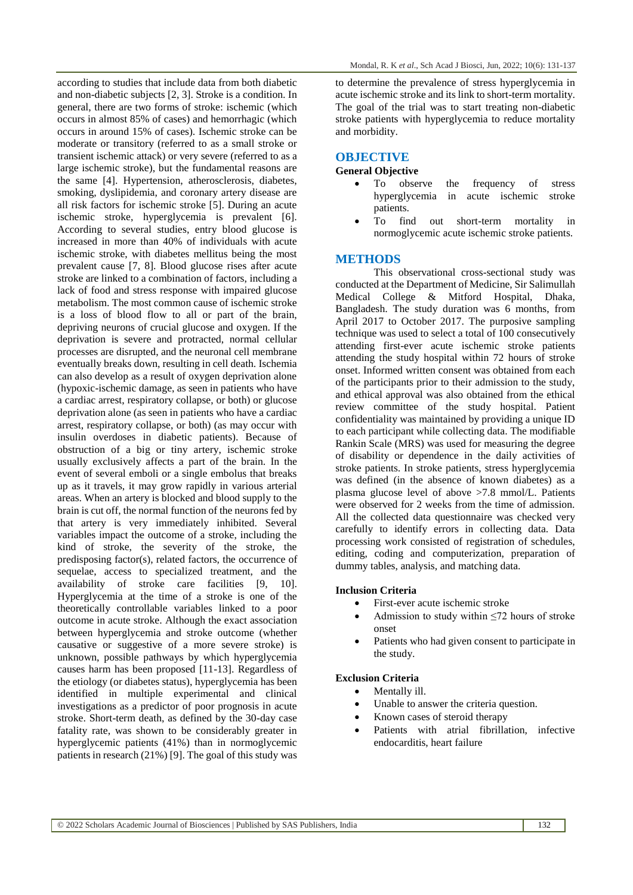according to studies that include data from both diabetic and non-diabetic subjects [2, 3]. Stroke is a condition. In general, there are two forms of stroke: ischemic (which occurs in almost 85% of cases) and hemorrhagic (which occurs in around 15% of cases). Ischemic stroke can be moderate or transitory (referred to as a small stroke or transient ischemic attack) or very severe (referred to as a large ischemic stroke), but the fundamental reasons are the same [4]. Hypertension, atherosclerosis, diabetes, smoking, dyslipidemia, and coronary artery disease are all risk factors for ischemic stroke [5]. During an acute ischemic stroke, hyperglycemia is prevalent [6]. According to several studies, entry blood glucose is increased in more than 40% of individuals with acute ischemic stroke, with diabetes mellitus being the most prevalent cause [7, 8]. Blood glucose rises after acute stroke are linked to a combination of factors, including a lack of food and stress response with impaired glucose metabolism. The most common cause of ischemic stroke is a loss of blood flow to all or part of the brain, depriving neurons of crucial glucose and oxygen. If the deprivation is severe and protracted, normal cellular processes are disrupted, and the neuronal cell membrane eventually breaks down, resulting in cell death. Ischemia can also develop as a result of oxygen deprivation alone (hypoxic-ischemic damage, as seen in patients who have a cardiac arrest, respiratory collapse, or both) or glucose deprivation alone (as seen in patients who have a cardiac arrest, respiratory collapse, or both) (as may occur with insulin overdoses in diabetic patients). Because of obstruction of a big or tiny artery, ischemic stroke usually exclusively affects a part of the brain. In the event of several emboli or a single embolus that breaks up as it travels, it may grow rapidly in various arterial areas. When an artery is blocked and blood supply to the brain is cut off, the normal function of the neurons fed by that artery is very immediately inhibited. Several variables impact the outcome of a stroke, including the kind of stroke, the severity of the stroke, the predisposing factor(s), related factors, the occurrence of sequelae, access to specialized treatment, and the availability of stroke care facilities [9, 10]. Hyperglycemia at the time of a stroke is one of the theoretically controllable variables linked to a poor outcome in acute stroke. Although the exact association between hyperglycemia and stroke outcome (whether causative or suggestive of a more severe stroke) is unknown, possible pathways by which hyperglycemia causes harm has been proposed [11-13]. Regardless of the etiology (or diabetes status), hyperglycemia has been identified in multiple experimental and clinical investigations as a predictor of poor prognosis in acute stroke. Short-term death, as defined by the 30-day case fatality rate, was shown to be considerably greater in hyperglycemic patients (41%) than in normoglycemic patients in research (21%) [9]. The goal of this study was

to determine the prevalence of stress hyperglycemia in acute ischemic stroke and its link to short-term mortality. The goal of the trial was to start treating non-diabetic stroke patients with hyperglycemia to reduce mortality and morbidity.

#### **OBJECTIVE**

### **General Objective**

- To observe the frequency of stress hyperglycemia in acute ischemic stroke patients.
- To find out short-term mortality in normoglycemic acute ischemic stroke patients.

#### **METHODS**

This observational cross-sectional study was conducted at the Department of Medicine, Sir Salimullah Medical College & Mitford Hospital, Dhaka, Bangladesh. The study duration was 6 months, from April 2017 to October 2017. The purposive sampling technique was used to select a total of 100 consecutively attending first-ever acute ischemic stroke patients attending the study hospital within 72 hours of stroke onset. Informed written consent was obtained from each of the participants prior to their admission to the study, and ethical approval was also obtained from the ethical review committee of the study hospital. Patient confidentiality was maintained by providing a unique ID to each participant while collecting data. The modifiable Rankin Scale (MRS) was used for measuring the degree of disability or dependence in the daily activities of stroke patients. In stroke patients, stress hyperglycemia was defined (in the absence of known diabetes) as a plasma glucose level of above >7.8 mmol/L. Patients were observed for 2 weeks from the time of admission. All the collected data questionnaire was checked very carefully to identify errors in collecting data. Data processing work consisted of registration of schedules, editing, coding and computerization, preparation of dummy tables, analysis, and matching data.

#### **Inclusion Criteria**

- First-ever acute ischemic stroke
- Admission to study within  $\leq 72$  hours of stroke onset
- Patients who had given consent to participate in the study.

#### **Exclusion Criteria**

#### Mentally ill.

- Unable to answer the criteria question.
- Known cases of steroid therapy
- Patients with atrial fibrillation, infective endocarditis, heart failure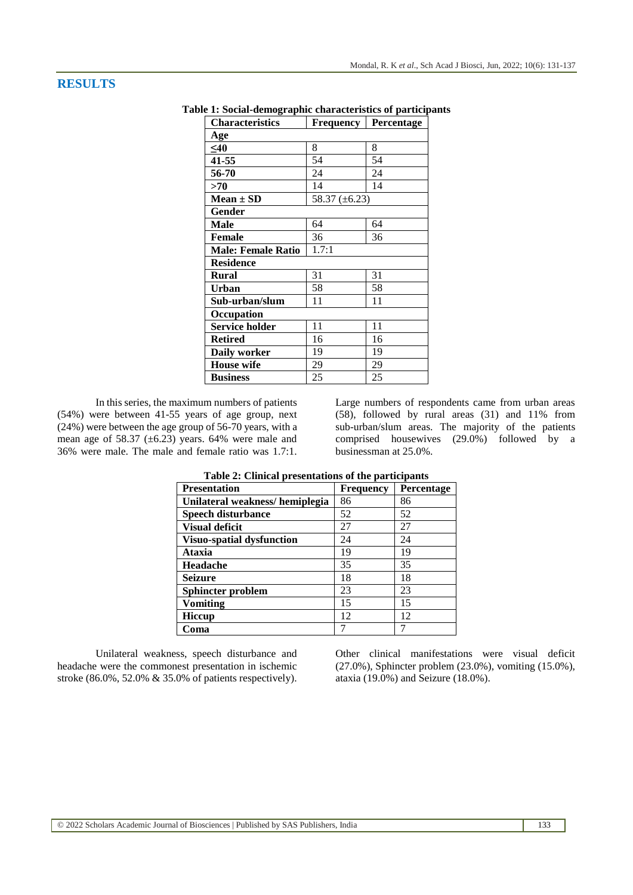# **RESULTS**

| <b>Characteristics</b>    | <b>Frequency</b> | Percentage |
|---------------------------|------------------|------------|
| Age                       |                  |            |
| $40$                      | 8                | 8          |
| 41-55                     | 54               | 54         |
| 56-70                     | 24               | 24         |
| >70                       | 14               | 14         |
| $Mean \pm SD$             | 58.37 (±6.23)    |            |
| Gender                    |                  |            |
| Male                      | 64               | 64         |
| <b>Female</b>             | 36               | 36         |
| <b>Male: Female Ratio</b> | 1.7:1            |            |
| <b>Residence</b>          |                  |            |
| Rural                     | 31               | 31         |
| Urban                     | 58               | 58         |
| Sub-urban/slum            | 11               | 11         |
| Occupation                |                  |            |
| <b>Service holder</b>     | 11               | 11         |
| <b>Retired</b>            | 16               | 16         |
| <b>Daily worker</b>       | 19               | 19         |
| <b>House</b> wife         | 29               | 29         |
| <b>Business</b>           | 25               | 25         |

**Table 1: Social-demographic characteristics of participants**

In this series, the maximum numbers of patients (54%) were between 41-55 years of age group, next (24%) were between the age group of 56-70 years, with a mean age of 58.37 ( $\pm$ 6.23) years. 64% were male and 36% were male. The male and female ratio was 1.7:1.

Large numbers of respondents came from urban areas (58), followed by rural areas (31) and 11% from sub-urban/slum areas. The majority of the patients comprised housewives (29.0%) followed by a businessman at 25.0%.

| raore = chinem presentations or the participants |                  |            |
|--------------------------------------------------|------------------|------------|
| <b>Presentation</b>                              | <b>Frequency</b> | Percentage |
| Unilateral weakness/hemiplegia                   | 86               | 86         |
| <b>Speech disturbance</b>                        | 52               | 52         |
| <b>Visual deficit</b>                            | 27               | 27         |
| <b>Visuo-spatial dysfunction</b>                 | 24               | 24         |
| <b>Ataxia</b>                                    | 19               | 19         |
| Headache                                         | 35               | 35         |
| <b>Seizure</b>                                   | 18               | 18         |
| Sphincter problem                                | 23               | 23         |
| <b>Vomiting</b>                                  | 15               | 15         |
| Hiccup                                           | 12               | 12         |
| Coma                                             |                  |            |

**Table 2: Clinical presentations of the participants**

Unilateral weakness, speech disturbance and headache were the commonest presentation in ischemic stroke (86.0%, 52.0% & 35.0% of patients respectively).

Other clinical manifestations were visual deficit (27.0%), Sphincter problem (23.0%), vomiting (15.0%), ataxia (19.0%) and Seizure (18.0%).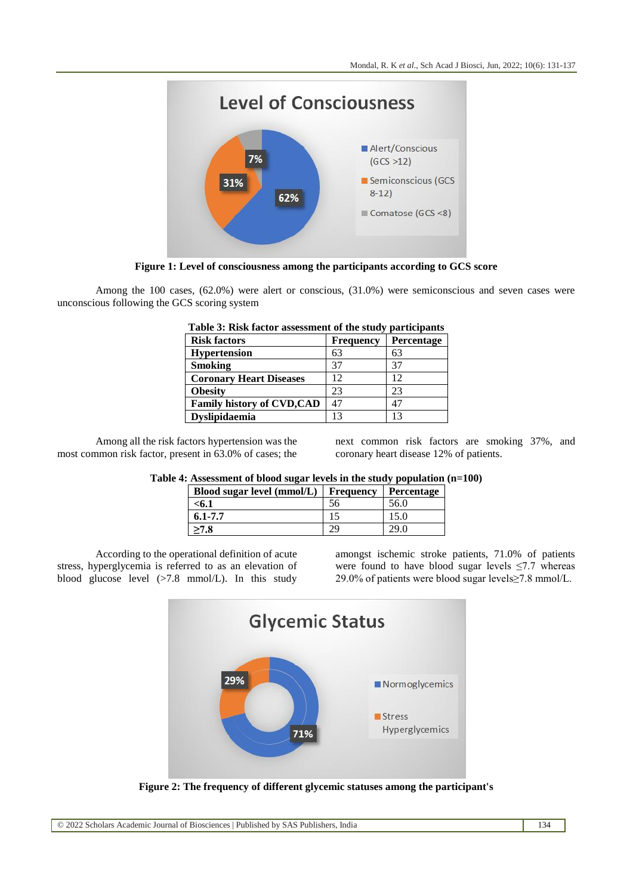

**Figure 1: Level of consciousness among the participants according to GCS score**

Among the 100 cases, (62.0%) were alert or conscious, (31.0%) were semiconscious and seven cases were unconscious following the GCS scoring system

| Tubic of Kibil hactor ussessment of the study<br>pul ucipulito |                   |  |
|----------------------------------------------------------------|-------------------|--|
| <b>Frequency</b>                                               | <b>Percentage</b> |  |
| 63                                                             | 63                |  |
| 37                                                             | 37                |  |
| 12                                                             | 12                |  |
| 23                                                             | 23                |  |
| 47                                                             | 47                |  |
|                                                                | 13                |  |
|                                                                |                   |  |

| Table 3: Risk factor assessment of the study participants |  |  |
|-----------------------------------------------------------|--|--|
|-----------------------------------------------------------|--|--|

Among all the risk factors hypertension was the most common risk factor, present in 63.0% of cases; the next common risk factors are smoking 37%, and coronary heart disease 12% of patients.

## **Table 4: Assessment of blood sugar levels in the study population (n=100)**

| Blood sugar level (mmol/L) | <b>Frequency</b> | Percentage |
|----------------------------|------------------|------------|
| <6.1                       | 56               | 56.0       |
| $6.1 - 7.7$                |                  | 15.0       |
| >7.8                       |                  | 29 O       |

According to the operational definition of acute stress, hyperglycemia is referred to as an elevation of blood glucose level (>7.8 mmol/L). In this study

amongst ischemic stroke patients, 71.0% of patients were found to have blood sugar levels  $\leq 7.7$  whereas 29.0% of patients were blood sugar levels≥7.8 mmol/L.



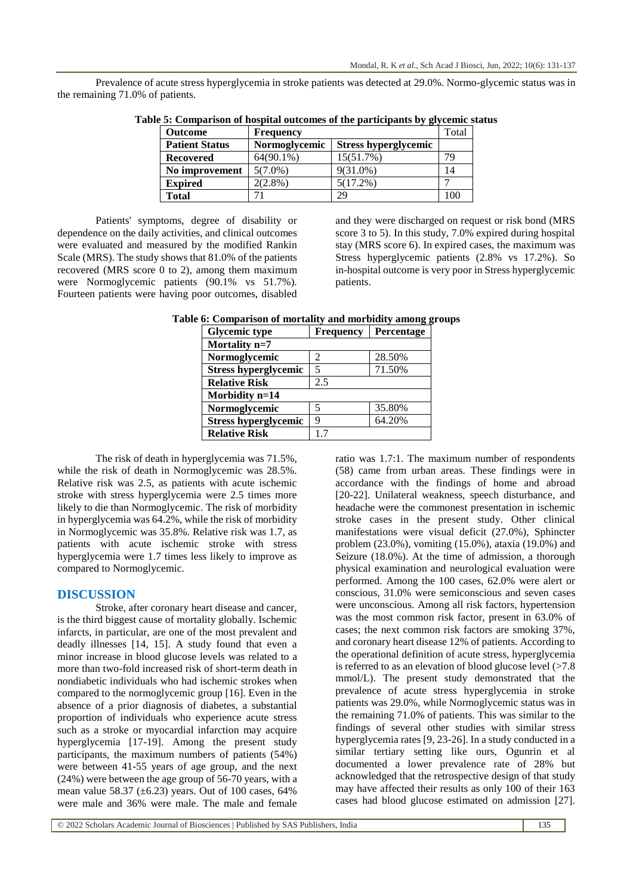Prevalence of acute stress hyperglycemia in stroke patients was detected at 29.0%. Normo-glycemic status was in the remaining 71.0% of patients.

| <b>Outcome</b>        | <b>Frequency</b> |                             | Total |
|-----------------------|------------------|-----------------------------|-------|
| <b>Patient Status</b> | Normoglycemic    | <b>Stress hyperglycemic</b> |       |
| Recovered             | $64(90.1\%)$     | 15(51.7%)                   | 79    |
| No improvement        | $5(7.0\%)$       | $9(31.0\%)$                 | 14    |
| <b>Expired</b>        | $2(2.8\%)$       | $5(17.2\%)$                 |       |
| Total                 |                  | 29                          | 100   |

Patients' symptoms, degree of disability or dependence on the daily activities, and clinical outcomes were evaluated and measured by the modified Rankin Scale (MRS). The study shows that 81.0% of the patients recovered (MRS score 0 to 2), among them maximum were Normoglycemic patients (90.1% vs 51.7%). Fourteen patients were having poor outcomes, disabled

and they were discharged on request or risk bond (MRS score 3 to 5). In this study, 7.0% expired during hospital stay (MRS score 6). In expired cases, the maximum was Stress hyperglycemic patients (2.8% vs 17.2%). So in-hospital outcome is very poor in Stress hyperglycemic patients.

| <b>Glycemic type</b>        | <b>Frequency</b> | Percentage |  |
|-----------------------------|------------------|------------|--|
| Mortality n=7               |                  |            |  |
| Normoglycemic               | 2                | 28.50%     |  |
| <b>Stress hyperglycemic</b> | 5                | 71.50%     |  |
| <b>Relative Risk</b>        | 2.5              |            |  |
| Morbidity n=14              |                  |            |  |
| Normoglycemic               | 5                | 35.80%     |  |
| <b>Stress hyperglycemic</b> | 9                | 64.20%     |  |
| <b>Relative Risk</b>        | 17               |            |  |

The risk of death in hyperglycemia was 71.5%, while the risk of death in Normoglycemic was 28.5%. Relative risk was 2.5, as patients with acute ischemic stroke with stress hyperglycemia were 2.5 times more likely to die than Normoglycemic. The risk of morbidity in hyperglycemia was 64.2%, while the risk of morbidity in Normoglycemic was 35.8%. Relative risk was 1.7, as patients with acute ischemic stroke with stress hyperglycemia were 1.7 times less likely to improve as compared to Normoglycemic.

#### **DISCUSSION**

Stroke, after coronary heart disease and cancer, is the third biggest cause of mortality globally. Ischemic infarcts, in particular, are one of the most prevalent and deadly illnesses [14, 15]. A study found that even a minor increase in blood glucose levels was related to a more than two-fold increased risk of short-term death in nondiabetic individuals who had ischemic strokes when compared to the normoglycemic group [16]. Even in the absence of a prior diagnosis of diabetes, a substantial proportion of individuals who experience acute stress such as a stroke or myocardial infarction may acquire hyperglycemia [17-19]. Among the present study participants, the maximum numbers of patients (54%) were between 41-55 years of age group, and the next (24%) were between the age group of 56-70 years, with a mean value 58.37 ( $\pm$ 6.23) years. Out of 100 cases, 64% were male and 36% were male. The male and female

ratio was 1.7:1. The maximum number of respondents (58) came from urban areas. These findings were in accordance with the findings of home and abroad [20-22]. Unilateral weakness, speech disturbance, and headache were the commonest presentation in ischemic stroke cases in the present study. Other clinical manifestations were visual deficit (27.0%), Sphincter problem (23.0%), vomiting (15.0%), ataxia (19.0%) and Seizure (18.0%). At the time of admission, a thorough physical examination and neurological evaluation were performed. Among the 100 cases, 62.0% were alert or conscious, 31.0% were semiconscious and seven cases were unconscious. Among all risk factors, hypertension was the most common risk factor, present in 63.0% of cases; the next common risk factors are smoking 37%, and coronary heart disease 12% of patients. According to the operational definition of acute stress, hyperglycemia is referred to as an elevation of blood glucose level  $($ >7.8 mmol/L). The present study demonstrated that the prevalence of acute stress hyperglycemia in stroke patients was 29.0%, while Normoglycemic status was in the remaining 71.0% of patients. This was similar to the findings of several other studies with similar stress hyperglycemia rates [9, 23-26]. In a study conducted in a similar tertiary setting like ours, Ogunrin et al documented a lower prevalence rate of 28% but acknowledged that the retrospective design of that study may have affected their results as only 100 of their 163 cases had blood glucose estimated on admission [27].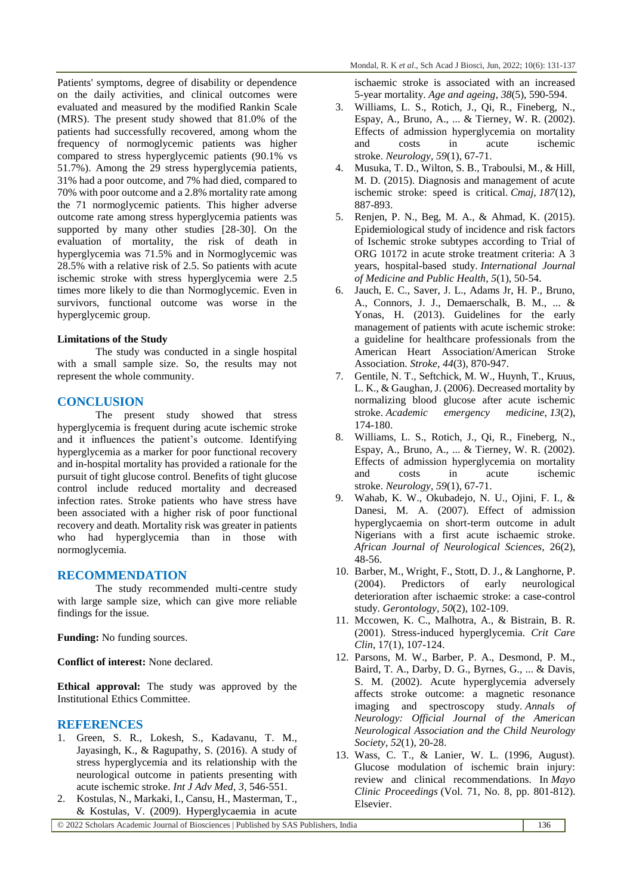Patients' symptoms, degree of disability or dependence on the daily activities, and clinical outcomes were evaluated and measured by the modified Rankin Scale (MRS). The present study showed that 81.0% of the patients had successfully recovered, among whom the frequency of normoglycemic patients was higher compared to stress hyperglycemic patients (90.1% vs 51.7%). Among the 29 stress hyperglycemia patients, 31% had a poor outcome, and 7% had died, compared to 70% with poor outcome and a 2.8% mortality rate among the 71 normoglycemic patients. This higher adverse outcome rate among stress hyperglycemia patients was supported by many other studies [28-30]. On the evaluation of mortality, the risk of death in hyperglycemia was 71.5% and in Normoglycemic was 28.5% with a relative risk of 2.5. So patients with acute ischemic stroke with stress hyperglycemia were 2.5 times more likely to die than Normoglycemic. Even in survivors, functional outcome was worse in the hyperglycemic group.

## **Limitations of the Study**

The study was conducted in a single hospital with a small sample size. So, the results may not represent the whole community.

# **CONCLUSION**

The present study showed that stress hyperglycemia is frequent during acute ischemic stroke and it influences the patient's outcome. Identifying hyperglycemia as a marker for poor functional recovery and in-hospital mortality has provided a rationale for the pursuit of tight glucose control. Benefits of tight glucose control include reduced mortality and decreased infection rates. Stroke patients who have stress have been associated with a higher risk of poor functional recovery and death. Mortality risk was greater in patients who had hyperglycemia than in those with normoglycemia.

# **RECOMMENDATION**

The study recommended multi-centre study with large sample size, which can give more reliable findings for the issue.

**Funding:** No funding sources.

**Conflict of interest:** None declared.

**Ethical approval:** The study was approved by the Institutional Ethics Committee.

# **REFERENCES**

- 1. Green, S. R., Lokesh, S., Kadavanu, T. M., Jayasingh, K., & Ragupathy, S. (2016). A study of stress hyperglycemia and its relationship with the neurological outcome in patients presenting with acute ischemic stroke. *Int J Adv Med*, *3*, 546-551.
- 2. Kostulas, N., Markaki, I., Cansu, H., Masterman, T., & Kostulas, V. (2009). Hyperglycaemia in acute

ischaemic stroke is associated with an increased 5-year mortality. *Age and ageing*, *38*(5), 590-594.

- 3. Williams, L. S., Rotich, J., Qi, R., Fineberg, N., Espay, A., Bruno, A., ... & Tierney, W. R. (2002). Effects of admission hyperglycemia on mortality and costs in acute ischemic stroke. *Neurology*, *59*(1), 67-71.
- 4. Musuka, T. D., Wilton, S. B., Traboulsi, M., & Hill, M. D. (2015). Diagnosis and management of acute ischemic stroke: speed is critical. *Cmaj*, *187*(12), 887-893.
- 5. Renjen, P. N., Beg, M. A., & Ahmad, K. (2015). Epidemiological study of incidence and risk factors of Ischemic stroke subtypes according to Trial of ORG 10172 in acute stroke treatment criteria: A 3 years, hospital-based study. *International Journal of Medicine and Public Health*, *5*(1), 50-54.
- 6. Jauch, E. C., Saver, J. L., Adams Jr, H. P., Bruno, A., Connors, J. J., Demaerschalk, B. M., ... & Yonas, H. (2013). Guidelines for the early management of patients with acute ischemic stroke: a guideline for healthcare professionals from the American Heart Association/American Stroke Association. *Stroke*, *44*(3), 870-947.
- 7. Gentile, N. T., Seftchick, M. W., Huynh, T., Kruus, L. K., & Gaughan, J. (2006). Decreased mortality by normalizing blood glucose after acute ischemic stroke. *Academic emergency medicine*, *13*(2), 174-180.
- 8. Williams, L. S., Rotich, J., Qi, R., Fineberg, N., Espay, A., Bruno, A., ... & Tierney, W. R. (2002). Effects of admission hyperglycemia on mortality and costs in acute ischemic stroke. *Neurology*, *59*(1), 67-71.
- 9. Wahab, K. W., Okubadejo, N. U., Ojini, F. I., & Danesi, M. A. (2007). Effect of admission hyperglycaemia on short-term outcome in adult Nigerians with a first acute ischaemic stroke. *African Journal of Neurological Sciences*, 26(2), 48-56.
- 10. Barber, M., Wright, F., Stott, D. J., & Langhorne, P. (2004). Predictors of early neurological deterioration after ischaemic stroke: a case-control study. *Gerontology*, *50*(2), 102-109.
- 11. Mccowen, K. C., Malhotra, A., & Bistrain, B. R. (2001). Stress-induced hyperglycemia. *Crit Care Clin*, 17(1), 107-124.
- 12. Parsons, M. W., Barber, P. A., Desmond, P. M., Baird, T. A., Darby, D. G., Byrnes, G., ... & Davis, S. M. (2002). Acute hyperglycemia adversely affects stroke outcome: a magnetic resonance imaging and spectroscopy study. *Annals of Neurology: Official Journal of the American Neurological Association and the Child Neurology Society*, *52*(1), 20-28.
- 13. Wass, C. T., & Lanier, W. L. (1996, August). Glucose modulation of ischemic brain injury: review and clinical recommendations. In *Mayo Clinic Proceedings* (Vol. 71, No. 8, pp. 801-812). Elsevier.

© 2022 Scholars Academic Journal of Biosciences | Published by SAS Publishers, India 136